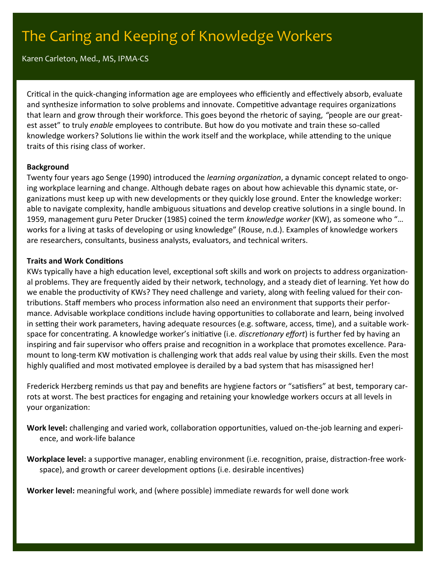# The Caring and Keeping of Knowledge Workers

Karen Carleton, Med., MS, IPMA-CS

Critical in the quick-changing information age are employees who efficiently and effectively absorb, evaluate and synthesize information to solve problems and innovate. Competitive advantage requires organizations that learn and grow through their workforce. This goes beyond the rhetoric of saying, *"*people are our greatest asset" to truly *enable* employees to contribute. But how do you motivate and train these so-called knowledge workers? Solutions lie within the work itself and the workplace, while attending to the unique traits of this rising class of worker.

### **Background**

Twenty four years ago Senge (1990) introduced the *learning organization*, a dynamic concept related to ongoing workplace learning and change. Although debate rages on about how achievable this dynamic state, organizations must keep up with new developments or they quickly lose ground. Enter the knowledge worker: able to navigate complexity, handle ambiguous situations and develop creative solutions in a single bound. In 1959, management guru Peter Drucker (1985) coined the term *knowledge worker* (KW), as someone who "… works for a living at tasks of developing or using knowledge" (Rouse, n.d.). Examples of knowledge workers are researchers, consultants, business analysts, evaluators, and technical writers.

### **Traits and Work Conditions**

KWs typically have a high education level, exceptional soft skills and work on projects to address organizational problems. They are frequently aided by their network, technology, and a steady diet of learning. Yet how do we enable the productivity of KWs? They need challenge and variety, along with feeling valued for their contributions. Staff members who process information also need an environment that supports their performance. Advisable workplace conditions include having opportunities to collaborate and learn, being involved in setting their work parameters, having adequate resources (e.g. software, access, time), and a suitable workspace for concentrating. A knowledge worker's initiative (i.e. *discretionary effort*) is further fed by having an inspiring and fair supervisor who offers praise and recognition in a workplace that promotes excellence. Paramount to long-term KW motivation is challenging work that adds real value by using their skills. Even the most highly qualified and most motivated employee is derailed by a bad system that has misassigned her!

Frederick Herzberg reminds us that pay and benefits are hygiene factors or "satisfiers" at best, temporary carrots at worst. The best practices for engaging and retaining your knowledge workers occurs at all levels in your organization:

**Work level:** challenging and varied work, collaboration opportunities, valued on-the-job learning and experience, and work-life balance

**Workplace level:** a supportive manager, enabling environment (i.e. recognition, praise, distraction-free workspace), and growth or career development options (i.e. desirable incentives)

**Worker level:** meaningful work, and (where possible) immediate rewards for well done work